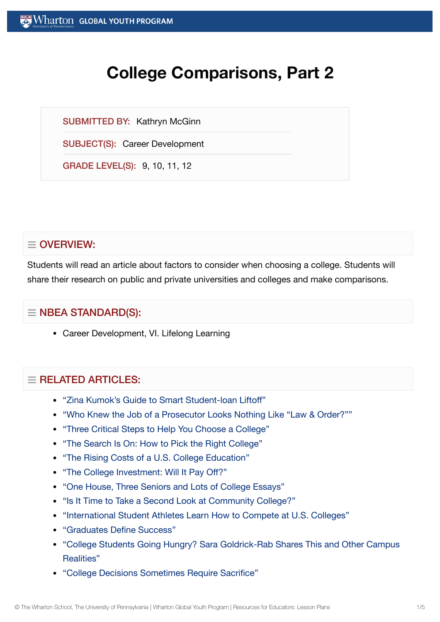# **College Comparisons, Part 2**

SUBMITTED BY: Kathryn McGinn

SUBJECT(S): Career Development

GRADE LEVEL(S): 9, 10, 11, 12

# $\equiv$  OVERVIEW:

Students will read an article about factors to consider when choosing a college. Students will share their research on public and private universities and colleges and make comparisons.

## $\equiv$  NBEA STANDARD(S):

Career Development, VI. Lifelong Learning

## $=$  RFI ATED ARTICLES:

- "Zina [Kumok's Guide](https://globalyouth.wharton.upenn.edu/articles/a-guide-to-smart-student-loan-liftoff/) to Smart Student-loan Liftoff"
- "Who Knew the Job of a Prosecutor [Looks Nothing](https://globalyouth.wharton.upenn.edu/articles/who-knew-the-job-of-a-prosecutor-looks-nothing-like-law-order/) Like "Law & Order?""
- "Three Critical Steps to Help You Choose a [College"](https://globalyouth.wharton.upenn.edu/articles/three-critical-steps-choosing-go-college/)
- "The Search Is On: How to Pick the Right [College"](https://globalyouth.wharton.upenn.edu/articles/the-search-is-on-how-to-pick-the-right-college/)
- "The Rising Costs of a U.S. College [Education"](https://globalyouth.wharton.upenn.edu/articles/the-rising-costs-of-a-college-education/)
- "The College [Investment:](https://globalyouth.wharton.upenn.edu/articles/the-college-investment-will-it-pay-off/) Will It Pay Off?"
- "One House, Three [Seniors and](https://globalyouth.wharton.upenn.edu/articles/one-house-three-seniors-lots-college-essays/) Lots of College Essays"
- "Is It Time to Take a Second Look at [Community College?"](https://globalyouth.wharton.upenn.edu/articles/time-take-second-look-community-college/)
- "International Student [Athletes Learn](https://globalyouth.wharton.upenn.edu/articles/international-student-athletes-learn-how-to-compete-at-u-s-colleges/) How to Compete at U.S. Colleges"
- ["Graduates Define](https://globalyouth.wharton.upenn.edu/articles/2018-graduates-define-success/) Success"
- "College Students Going Hungry? Sara Goldrick-Rab [Shares This and](https://globalyouth.wharton.upenn.edu/articles/college-students-going-hungry-sara-goldrick-rab-shares-campus-realities/) Other Campus Realities"
- "College [Decisions Sometimes Require](https://globalyouth.wharton.upenn.edu/articles/smart_money_decisions_require_sacrifice/) Sacrifice"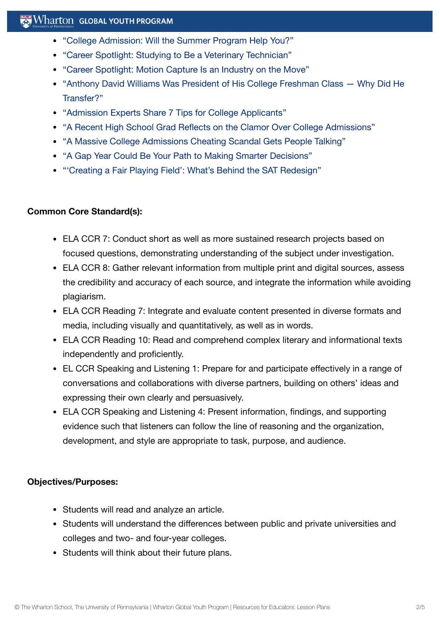## $\mathbb{R}$  Wharton Global Youth Program

- "College [Admission:](https://globalyouth.wharton.upenn.edu/articles/college-admission-will-summer-program-help-you/) Will the Summer Program Help You?"
- "Career Spotlight: Studying to Be a [Veterinary Technician"](https://globalyouth.wharton.upenn.edu/articles/career-spotlight-studying-to-be-a-veterinary-technician/)
- "Career Spotlight: Motion Capture Is an [Industry on](https://globalyouth.wharton.upenn.edu/articles/careers-motion-capture-industry-on-the-move/) the Move"
- "Anthony David [Williams Was President](https://globalyouth.wharton.upenn.edu/articles/first-generation-college-student-discusses-chose-transfer-new-school/) of His College Freshman Class Why Did He Transfer?"
- "Admission [Experts Share](https://globalyouth.wharton.upenn.edu/articles/admission-experts-share-7-tips-college-applicants/) 7 Tips for College Applicants"
- "A Recent High School Grad Reflects on the Clamor Over College [Admissions"](https://globalyouth.wharton.upenn.edu/articles/a-recent-high-school-grad-reflects-on-the-clamor-over-college-admissions/)
- "A Massive College [Admissions Cheating](https://globalyouth.wharton.upenn.edu/articles/a-massive-college-admissions-cheating-scandal-sparks-emotion-and-debate/) Scandal Gets People Talking"
- "A Gap Year Could Be Your Path to Making Smarter [Decisions"](https://globalyouth.wharton.upenn.edu/articles/gap-year-involves-little-cooking-laundry-whole-lot-self-discovery/)
- "'Creating a Fair Playing Field': [What's Behind](https://globalyouth.wharton.upenn.edu/articles/creating-fair-playing-field-whats-behind-sat-redesign/) the SAT Redesign"

## **Common Core Standard(s):**

- ELA CCR 7: Conduct short as well as more sustained research projects based on focused questions, demonstrating understanding of the subject under investigation.
- ELA CCR 8: Gather relevant information from multiple print and digital sources, assess the credibility and accuracy of each source, and integrate the information while avoiding plagiarism.
- ELA CCR Reading 7: Integrate and evaluate content presented in diverse formats and media, including visually and quantitatively, as well as in words.
- ELA CCR Reading 10: Read and comprehend complex literary and informational texts independently and proficiently.
- EL CCR Speaking and Listening 1: Prepare for and participate effectively in a range of conversations and collaborations with diverse partners, building on others' ideas and expressing their own clearly and persuasively.
- ELA CCR Speaking and Listening 4: Present information, findings, and supporting evidence such that listeners can follow the line of reasoning and the organization, development, and style are appropriate to task, purpose, and audience.

## **Objectives/Purposes:**

- Students will read and analyze an article.
- Students will understand the differences between public and private universities and colleges and two- and four-year colleges.
- Students will think about their future plans.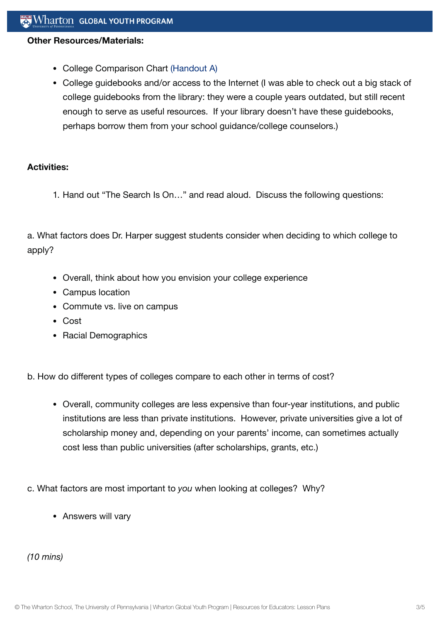#### **Other Resources/Materials:**

- College Comparison Chart [\(Handout](https://globalyouth.wharton.upenn.edu/wp-content/uploads/2012/01/Career-Development-30_Lifel.handout.pdf) A)
- College guidebooks and/or access to the Internet (I was able to check out a big stack of college guidebooks from the library: they were a couple years outdated, but still recent enough to serve as useful resources. If your library doesn't have these guidebooks, perhaps borrow them from your school guidance/college counselors.)

#### **Activities:**

1. Hand out "The Search Is On…" and read aloud. Discuss the following questions:

a. What factors does Dr. Harper suggest students consider when deciding to which college to apply?

- Overall, think about how you envision your college experience
- Campus location
- Commute vs. live on campus
- Cost
- Racial Demographics

b. How do different types of colleges compare to each other in terms of cost?

- Overall, community colleges are less expensive than four-year institutions, and public institutions are less than private institutions. However, private universities give a lot of scholarship money and, depending on your parents' income, can sometimes actually cost less than public universities (after scholarships, grants, etc.)
- c. What factors are most important to *you* when looking at colleges? Why?
	- Answers will vary

*(10 mins)*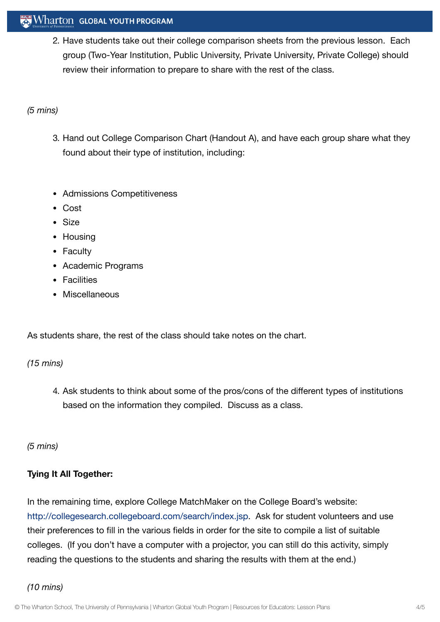## **Wharton GLOBAL YOUTH PROGRAM**

2. Have students take out their college comparison sheets from the previous lesson. Each group (Two-Year Institution, Public University, Private University, Private College) should review their information to prepare to share with the rest of the class.

#### *(5 mins)*

- 3. Hand out College Comparison Chart (Handout A), and have each group share what they found about their type of institution, including:
- Admissions Competitiveness
- Cost
- Size
- Housing
- Faculty
- Academic Programs
- **•** Facilities
- Miscellaneous

As students share, the rest of the class should take notes on the chart.

#### *(15 mins)*

4. Ask students to think about some of the pros/cons of the different types of institutions based on the information they compiled. Discuss as a class.

#### *(5 mins)*

## **Tying It All Together:**

In the remaining time, explore College MatchMaker on the College Board's website: [http://collegesearch.collegeboard.com/search/index.jsp.](http://collegesearch.collegeboard.com/search/index.jsp) Ask for student volunteers and use their preferences to fill in the various fields in order for the site to compile a list of suitable colleges. (If you don't have a computer with a projector, you can still do this activity, simply reading the questions to the students and sharing the results with them at the end.)

## *(10 mins)*